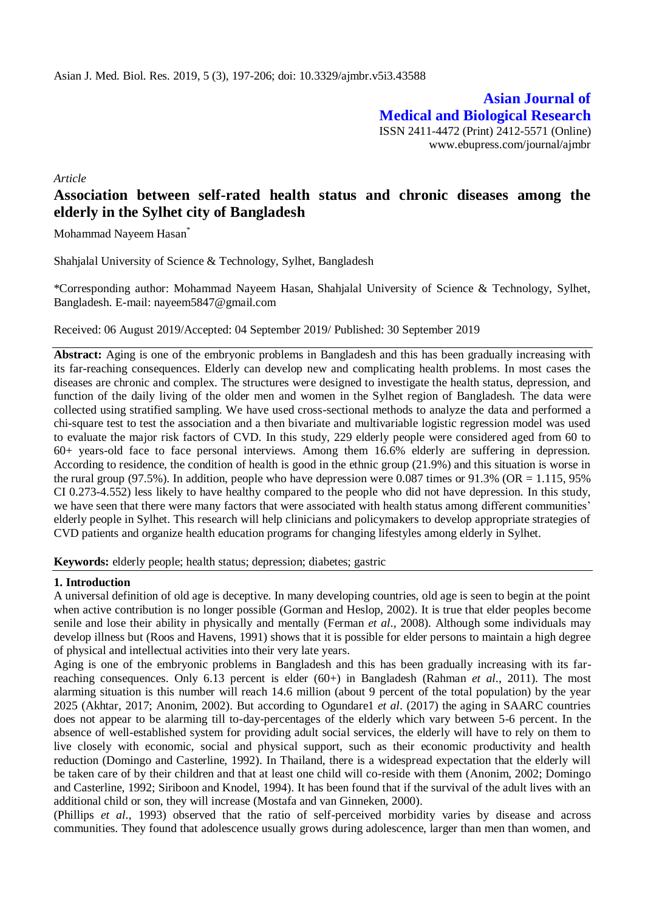**Asian Journal of Medical and Biological Research** ISSN 2411-4472 (Print) 2412-5571 (Online) www.ebupress.com/journal/ajmbr

*Article*

# **Association between self-rated health status and chronic diseases among the elderly in the Sylhet city of Bangladesh**

Mohammad Nayeem Hasan\*

Shahjalal University of Science & Technology, Sylhet, Bangladesh

\*Corresponding author: Mohammad Nayeem Hasan, Shahjalal University of Science & Technology, Sylhet, Bangladesh. E-mail: [nayeem5847@gmail.com](mailto:nayeem5847@gmail.com)

Received: 06 August 2019/Accepted: 04 September 2019/ Published: 30 September 2019

**Abstract:** Aging is one of the embryonic problems in Bangladesh and this has been gradually increasing with its far-reaching consequences. Elderly can develop new and complicating health problems. In most cases the diseases are chronic and complex. The structures were designed to investigate the health status, depression, and function of the daily living of the older men and women in the Sylhet region of Bangladesh. The data were collected using stratified sampling. We have used cross-sectional methods to analyze the data and performed a chi-square test to test the association and a then bivariate and multivariable logistic regression model was used to evaluate the major risk factors of CVD. In this study, 229 elderly people were considered aged from 60 to 60+ years-old face to face personal interviews. Among them 16.6% elderly are suffering in depression. According to residence, the condition of health is good in the ethnic group (21.9%) and this situation is worse in the rural group (97.5%). In addition, people who have depression were 0.087 times or 91.3% (OR = 1.115, 95%) CI 0.273-4.552) less likely to have healthy compared to the people who did not have depression. In this study, we have seen that there were many factors that were associated with health status among different communities' elderly people in Sylhet. This research will help clinicians and policymakers to develop appropriate strategies of CVD patients and organize health education programs for changing lifestyles among elderly in Sylhet.

**Keywords:** elderly people; health status; depression; diabetes; gastric

# **1. Introduction**

A universal definition of old age is deceptive. In many developing countries, old age is seen to begin at the point when active contribution is no longer possible (Gorman and Heslop, 2002). It is true that elder peoples become senile and lose their ability in physically and mentally (Ferman *et al*., 2008). Although some individuals may develop illness but (Roos and Havens, 1991) shows that it is possible for elder persons to maintain a high degree of physical and intellectual activities into their very late years.

Aging is one of the embryonic problems in Bangladesh and this has been gradually increasing with its farreaching consequences. Only 6.13 percent is elder (60+) in Bangladesh (Rahman *et al*., 2011). The most alarming situation is this number will reach 14.6 million (about 9 percent of the total population) by the year 2025 (Akhtar, 2017; Anonim, 2002). But according to Ogundare1 *et al*. (2017) the aging in SAARC countries does not appear to be alarming till to-day-percentages of the elderly which vary between 5-6 percent. In the absence of well-established system for providing adult social services, the elderly will have to rely on them to live closely with economic, social and physical support, such as their economic productivity and health reduction (Domingo and Casterline, 1992). In Thailand, there is a widespread expectation that the elderly will be taken care of by their children and that at least one child will co-reside with them (Anonim, 2002; Domingo and Casterline, 1992; Siriboon and Knodel, 1994). It has been found that if the survival of the adult lives with an additional child or son, they will increase (Mostafa and van Ginneken, 2000).

(Phillips *et al*., 1993) observed that the ratio of self-perceived morbidity varies by disease and across communities. They found that adolescence usually grows during adolescence, larger than men than women, and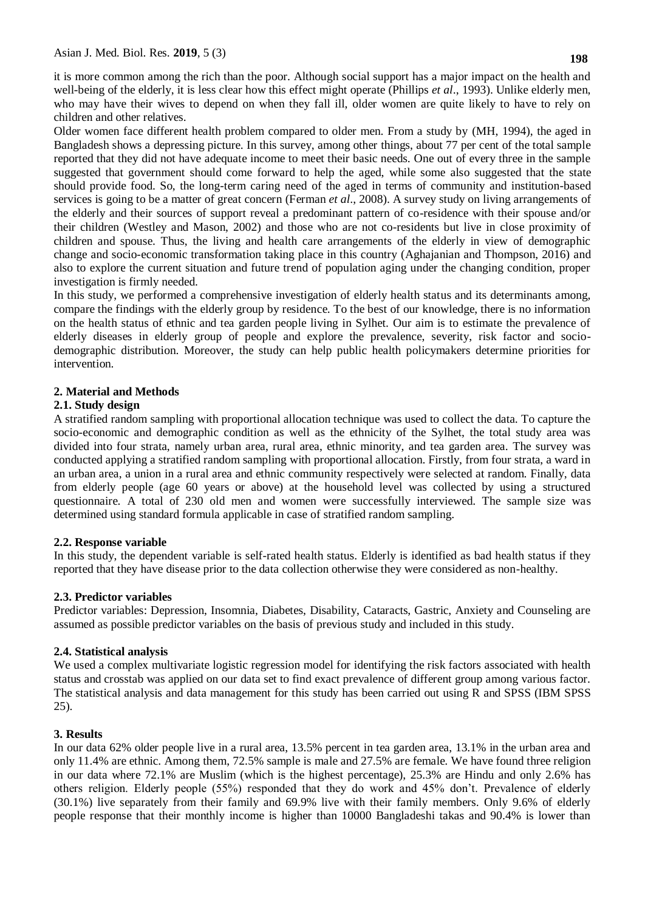it is more common among the rich than the poor. Although social support has a major impact on the health and well-being of the elderly, it is less clear how this effect might operate (Phillips *et al*., 1993). Unlike elderly men, who may have their wives to depend on when they fall ill, older women are quite likely to have to rely on children and other relatives.

Older women face different health problem compared to older men. From a study by (MH, 1994), the aged in Bangladesh shows a depressing picture. In this survey, among other things, about 77 per cent of the total sample reported that they did not have adequate income to meet their basic needs. One out of every three in the sample suggested that government should come forward to help the aged, while some also suggested that the state should provide food. So, the long-term caring need of the aged in terms of community and institution-based services is going to be a matter of great concern (Ferman *et al*., 2008). A survey study on living arrangements of the elderly and their sources of support reveal a predominant pattern of co-residence with their spouse and/or their children (Westley and Mason, 2002) and those who are not co-residents but live in close proximity of children and spouse. Thus, the living and health care arrangements of the elderly in view of demographic change and socio-economic transformation taking place in this country (Aghajanian and Thompson, 2016) and also to explore the current situation and future trend of population aging under the changing condition, proper investigation is firmly needed.

In this study, we performed a comprehensive investigation of elderly health status and its determinants among, compare the findings with the elderly group by residence. To the best of our knowledge, there is no information on the health status of ethnic and tea garden people living in Sylhet. Our aim is to estimate the prevalence of elderly diseases in elderly group of people and explore the prevalence, severity, risk factor and sociodemographic distribution. Moreover, the study can help public health policymakers determine priorities for intervention.

# **2. Material and Methods**

# **2.1. Study design**

A stratified random sampling with proportional allocation technique was used to collect the data. To capture the socio-economic and demographic condition as well as the ethnicity of the Sylhet, the total study area was divided into four strata, namely urban area, rural area, ethnic minority, and tea garden area. The survey was conducted applying a stratified random sampling with proportional allocation. Firstly, from four strata, a ward in an urban area, a union in a rural area and ethnic community respectively were selected at random. Finally, data from elderly people (age 60 years or above) at the household level was collected by using a structured questionnaire. A total of 230 old men and women were successfully interviewed. The sample size was determined using standard formula applicable in case of stratified random sampling.

# **2.2. Response variable**

In this study, the dependent variable is self-rated health status. Elderly is identified as bad health status if they reported that they have disease prior to the data collection otherwise they were considered as non-healthy.

# **2.3. Predictor variables**

Predictor variables: Depression, Insomnia, Diabetes, Disability, Cataracts, Gastric, Anxiety and Counseling are assumed as possible predictor variables on the basis of previous study and included in this study.

# **2.4. Statistical analysis**

We used a complex multivariate logistic regression model for identifying the risk factors associated with health status and crosstab was applied on our data set to find exact prevalence of different group among various factor. The statistical analysis and data management for this study has been carried out using R and SPSS (IBM SPSS 25).

# **3. Results**

In our data 62% older people live in a rural area, 13.5% percent in tea garden area, 13.1% in the urban area and only 11.4% are ethnic. Among them, 72.5% sample is male and 27.5% are female. We have found three religion in our data where 72.1% are Muslim (which is the highest percentage), 25.3% are Hindu and only 2.6% has others religion. Elderly people (55%) responded that they do work and 45% don't. Prevalence of elderly (30.1%) live separately from their family and 69.9% live with their family members. Only 9.6% of elderly people response that their monthly income is higher than 10000 Bangladeshi takas and 90.4% is lower than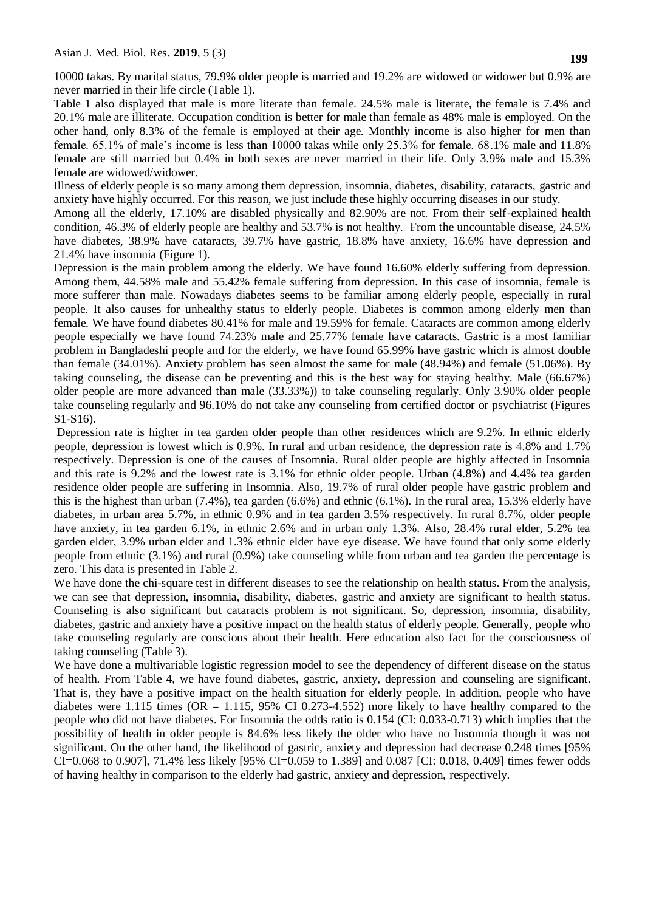10000 takas. By marital status, 79.9% older people is married and 19.2% are widowed or widower but 0.9% are never married in their life circle (Table 1).

Table 1 also displayed that male is more literate than female. 24.5% male is literate, the female is 7.4% and 20.1% male are illiterate. Occupation condition is better for male than female as 48% male is employed. On the other hand, only 8.3% of the female is employed at their age. Monthly income is also higher for men than female. 65.1% of male's income is less than 10000 takas while only 25.3% for female. 68.1% male and 11.8% female are still married but 0.4% in both sexes are never married in their life. Only 3.9% male and 15.3% female are widowed/widower.

Illness of elderly people is so many among them depression, insomnia, diabetes, disability, cataracts, gastric and anxiety have highly occurred. For this reason, we just include these highly occurring diseases in our study.

Among all the elderly, 17.10% are disabled physically and 82.90% are not. From their self-explained health condition, 46.3% of elderly people are healthy and 53.7% is not healthy. From the uncountable disease, 24.5% have diabetes, 38.9% have cataracts, 39.7% have gastric, 18.8% have anxiety, 16.6% have depression and 21.4% have insomnia (Figure 1).

Depression is the main problem among the elderly. We have found 16.60% elderly suffering from depression. Among them, 44.58% male and 55.42% female suffering from depression. In this case of insomnia, female is more sufferer than male. Nowadays diabetes seems to be familiar among elderly people, especially in rural people. It also causes for unhealthy status to elderly people. Diabetes is common among elderly men than female. We have found diabetes 80.41% for male and 19.59% for female. Cataracts are common among elderly people especially we have found 74.23% male and 25.77% female have cataracts. Gastric is a most familiar problem in Bangladeshi people and for the elderly, we have found 65.99% have gastric which is almost double than female (34.01%). Anxiety problem has seen almost the same for male (48.94%) and female (51.06%). By taking counseling, the disease can be preventing and this is the best way for staying healthy. Male (66.67%) older people are more advanced than male (33.33%)) to take counseling regularly. Only 3.90% older people take counseling regularly and 96.10% do not take any counseling from certified doctor or psychiatrist (Figures S1-S16).

Depression rate is higher in tea garden older people than other residences which are 9.2%. In ethnic elderly people, depression is lowest which is 0.9%. In rural and urban residence, the depression rate is 4.8% and 1.7% respectively. Depression is one of the causes of Insomnia. Rural older people are highly affected in Insomnia and this rate is 9.2% and the lowest rate is 3.1% for ethnic older people. Urban (4.8%) and 4.4% tea garden residence older people are suffering in Insomnia. Also, 19.7% of rural older people have gastric problem and this is the highest than urban (7.4%), tea garden (6.6%) and ethnic (6.1%). In the rural area, 15.3% elderly have diabetes, in urban area 5.7%, in ethnic 0.9% and in tea garden 3.5% respectively. In rural 8.7%, older people have anxiety, in tea garden 6.1%, in ethnic 2.6% and in urban only 1.3%. Also, 28.4% rural elder, 5.2% tea garden elder, 3.9% urban elder and 1.3% ethnic elder have eye disease. We have found that only some elderly people from ethnic (3.1%) and rural (0.9%) take counseling while from urban and tea garden the percentage is zero. This data is presented in Table 2.

We have done the chi-square test in different diseases to see the relationship on health status. From the analysis, we can see that depression, insomnia, disability, diabetes, gastric and anxiety are significant to health status. Counseling is also significant but cataracts problem is not significant. So, depression, insomnia, disability, diabetes, gastric and anxiety have a positive impact on the health status of elderly people. Generally, people who take counseling regularly are conscious about their health. Here education also fact for the consciousness of taking counseling (Table 3).

We have done a multivariable logistic regression model to see the dependency of different disease on the status of health. From Table 4, we have found diabetes, gastric, anxiety, depression and counseling are significant. That is, they have a positive impact on the health situation for elderly people. In addition, people who have diabetes were 1.115 times ( $OR = 1.115$ , 95% CI 0.273-4.552) more likely to have healthy compared to the people who did not have diabetes. For Insomnia the odds ratio is 0.154 (CI: 0.033-0.713) which implies that the possibility of health in older people is 84.6% less likely the older who have no Insomnia though it was not significant. On the other hand, the likelihood of gastric, anxiety and depression had decrease 0.248 times [95% CI=0.068 to 0.907], 71.4% less likely [95% CI=0.059 to 1.389] and 0.087 [CI: 0.018, 0.409] times fewer odds of having healthy in comparison to the elderly had gastric, anxiety and depression, respectively.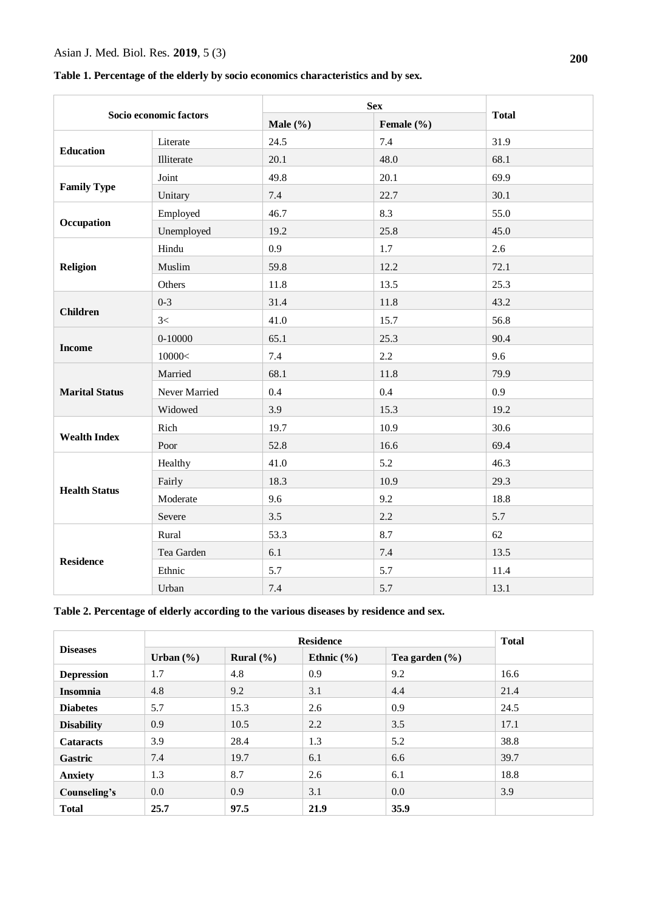# Asian J. Med. Biol. Res. **2019**, 5 (3)

**Table 1. Percentage of the elderly by socio economics characteristics and by sex.**

| Socio economic factors |               |              |            |              |
|------------------------|---------------|--------------|------------|--------------|
|                        |               | Male $(\% )$ | Female (%) | <b>Total</b> |
| <b>Education</b>       | Literate      | 24.5         | 7.4        | 31.9         |
|                        | Illiterate    | 20.1         | 48.0       | 68.1         |
| <b>Family Type</b>     | Joint         | 49.8         | 20.1       | 69.9         |
|                        | Unitary       | 7.4          | 22.7       | 30.1         |
| Occupation             | Employed      | 46.7         | 8.3        | 55.0         |
|                        | Unemployed    | 19.2         | 25.8       | 45.0         |
| <b>Religion</b>        | Hindu         | 0.9          | 1.7        | 2.6          |
|                        | Muslim        | 59.8         | 12.2       | 72.1         |
|                        | Others        | 11.8         | 13.5       | 25.3         |
| <b>Children</b>        | $0 - 3$       | 31.4         | 11.8       | 43.2         |
|                        | 3<            | 41.0         | 15.7       | 56.8         |
|                        | $0 - 10000$   | 65.1         | 25.3       | 90.4         |
| <b>Income</b>          | 10000<        | 7.4          | 2.2        | 9.6          |
|                        | Married       | 68.1         | 11.8       | 79.9         |
| <b>Marital Status</b>  | Never Married | 0.4          | 0.4        | 0.9          |
|                        | Widowed       | 3.9          | 15.3       | 19.2         |
|                        | Rich          | 19.7         | 10.9       | 30.6         |
| <b>Wealth Index</b>    | Poor          | 52.8         | 16.6       | 69.4         |
|                        | Healthy       | 41.0         | 5.2        | 46.3         |
| <b>Health Status</b>   | Fairly        | 18.3         | 10.9       | 29.3         |
|                        | Moderate      | 9.6          | 9.2        | 18.8         |
|                        | Severe        | 3.5          | 2.2        | 5.7          |
| <b>Residence</b>       | Rural         | 53.3         | 8.7        | 62           |
|                        | Tea Garden    | 6.1          | 7.4        | 13.5         |
|                        | Ethnic        | 5.7          | 5.7        | 11.4         |
|                        | Urban         | 7.4          | 5.7        | 13.1         |

# **Table 2. Percentage of elderly according to the various diseases by residence and sex.**

| <b>Diseases</b>   | <b>Residence</b> |               |                |                    | <b>Total</b> |
|-------------------|------------------|---------------|----------------|--------------------|--------------|
|                   | Urban $(\% )$    | Rural $(\% )$ | Ethnic $(\% )$ | Tea garden $(\% )$ |              |
| <b>Depression</b> | 1.7              | 4.8           | 0.9            | 9.2                | 16.6         |
| <b>Insomnia</b>   | 4.8              | 9.2           | 3.1            | 4.4                | 21.4         |
| <b>Diabetes</b>   | 5.7              | 15.3          | 2.6            | 0.9                | 24.5         |
| <b>Disability</b> | 0.9              | 10.5          | 2.2            | 3.5                | 17.1         |
| <b>Cataracts</b>  | 3.9              | 28.4          | 1.3            | 5.2                | 38.8         |
| <b>Gastric</b>    | 7.4              | 19.7          | 6.1            | 6.6                | 39.7         |
| <b>Anxiety</b>    | 1.3              | 8.7           | 2.6            | 6.1                | 18.8         |
| Counseling's      | 0.0              | 0.9           | 3.1            | $0.0\,$            | 3.9          |
| <b>Total</b>      | 25.7             | 97.5          | 21.9           | 35.9               |              |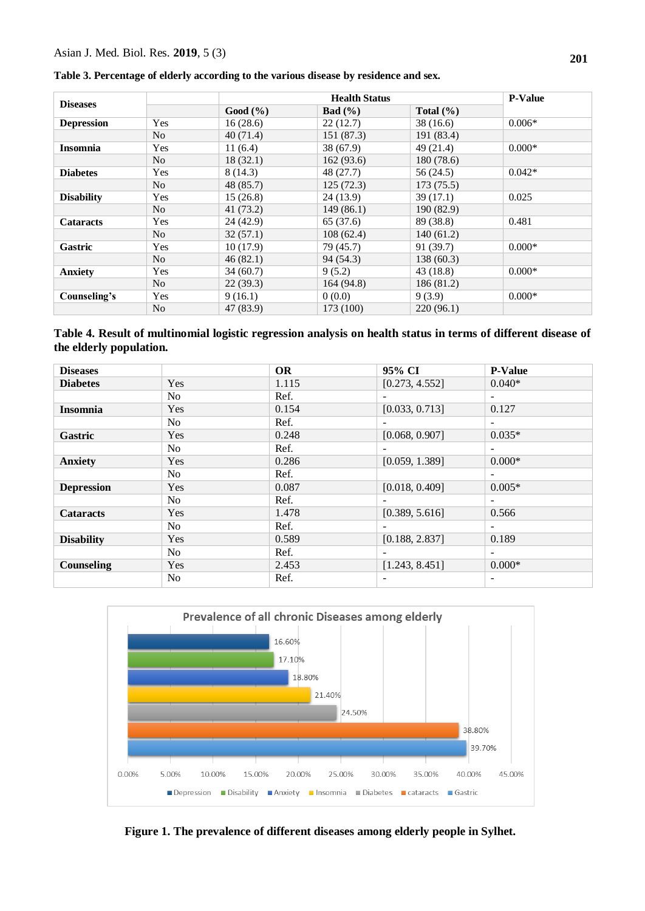### Asian J. Med. Biol. Res. **2019**, 5 (3)

**Table 3. Percentage of elderly according to the various disease by residence and sex.**

| <b>Diseases</b>   |                |           | <b>Health Status</b> |               |          |
|-------------------|----------------|-----------|----------------------|---------------|----------|
|                   |                | Good (%)  | <b>Bad</b> $(\%)$    | Total $(\% )$ |          |
| <b>Depression</b> | Yes            | 16(28.6)  | 22(12.7)             | 38(16.6)      | $0.006*$ |
|                   | N <sub>0</sub> | 40(71.4)  | 151 (87.3)           | 191 (83.4)    |          |
| <b>Insomnia</b>   | Yes            | 11(6.4)   | 38 (67.9)            | 49(21.4)      | $0.000*$ |
|                   | N <sub>0</sub> | 18(32.1)  | 162(93.6)            | 180(78.6)     |          |
| <b>Diabetes</b>   | Yes            | 8(14.3)   | 48(27.7)             | 56 (24.5)     | $0.042*$ |
|                   | N <sub>0</sub> | 48 (85.7) | 125(72.3)            | 173(75.5)     |          |
| <b>Disability</b> | Yes            | 15(26.8)  | 24(13.9)             | 39(17.1)      | 0.025    |
|                   | N <sub>0</sub> | 41(73.2)  | 149(86.1)            | 190 (82.9)    |          |
| <b>Cataracts</b>  | Yes            | 24(42.9)  | 65 (37.6)            | 89 (38.8)     | 0.481    |
|                   | N <sub>0</sub> | 32(57.1)  | 108(62.4)            | 140(61.2)     |          |
| <b>Gastric</b>    | Yes            | 10(17.9)  | 79 (45.7)            | 91(39.7)      | $0.000*$ |
|                   | N <sub>o</sub> | 46(82.1)  | 94 (54.3)            | 138(60.3)     |          |
| <b>Anxiety</b>    | Yes            | 34(60.7)  | 9(5.2)               | 43(18.8)      | $0.000*$ |
|                   | N <sub>o</sub> | 22(39.3)  | 164 (94.8)           | 186(81.2)     |          |
| Counseling's      | Yes            | 9(16.1)   | 0(0.0)               | 9(3.9)        | $0.000*$ |
|                   | N <sub>0</sub> | 47 (83.9) | 173 (100)            | 220(96.1)     |          |

**Table 4. Result of multinomial logistic regression analysis on health status in terms of different disease of the elderly population.**

| <b>Diseases</b>   |                | <b>OR</b> | 95% CI         | <b>P-Value</b>           |
|-------------------|----------------|-----------|----------------|--------------------------|
| <b>Diabetes</b>   | Yes            | 1.115     | [0.273, 4.552] | $0.040*$                 |
|                   | N <sub>o</sub> | Ref.      |                | $\overline{\phantom{a}}$ |
| <b>Insomnia</b>   | Yes            | 0.154     | [0.033, 0.713] | 0.127                    |
|                   | N <sub>0</sub> | Ref.      |                | $\sim$                   |
| Gastric           | Yes            | 0.248     | [0.068, 0.907] | $0.035*$                 |
|                   | N <sub>o</sub> | Ref.      |                | ٠.                       |
| <b>Anxiety</b>    | Yes            | 0.286     | [0.059, 1.389] | $0.000*$                 |
|                   | N <sub>o</sub> | Ref.      |                |                          |
| <b>Depression</b> | Yes            | 0.087     | [0.018, 0.409] | $0.005*$                 |
|                   | N <sub>0</sub> | Ref.      |                | $\overline{a}$           |
| <b>Cataracts</b>  | Yes            | 1.478     | [0.389, 5.616] | 0.566                    |
|                   | No.            | Ref.      |                | ٠.                       |
| <b>Disability</b> | Yes            | 0.589     | [0.188, 2.837] | 0.189                    |
|                   | N <sub>0</sub> | Ref.      |                | $\sim$                   |
| Counseling        | Yes            | 2.453     | [1.243, 8.451] | $0.000*$                 |
|                   | N <sub>0</sub> | Ref.      |                |                          |



**Figure 1. The prevalence of different diseases among elderly people in Sylhet.**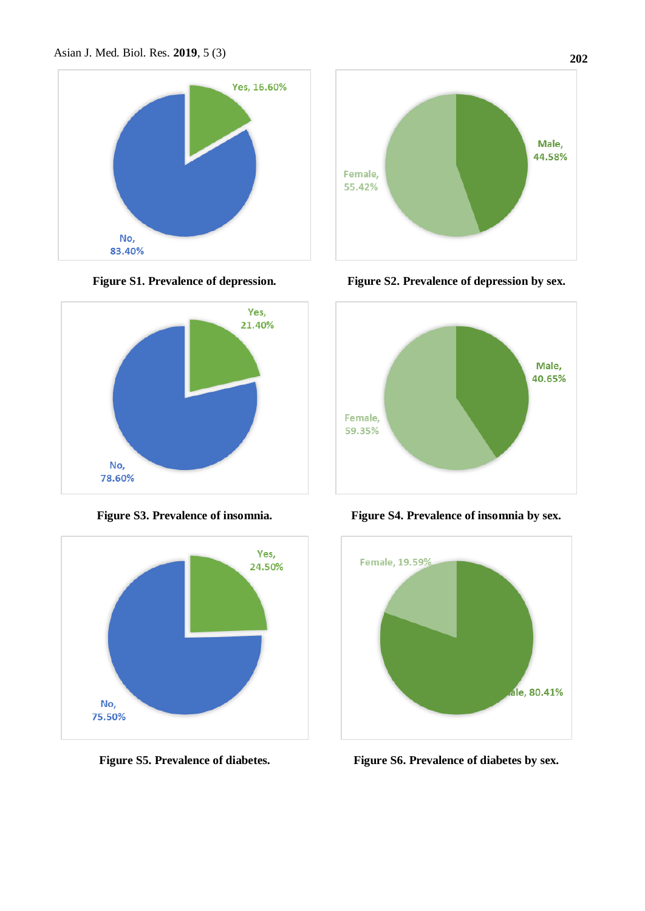









**Figure S1. Prevalence of depression. Figure S2. Prevalence of depression by sex.**



**Figure S3. Prevalence of insomnia. Figure S4. Prevalence of insomnia by sex.**



**Figure S5. Prevalence of diabetes. Figure S6. Prevalence of diabetes by sex.**

**202**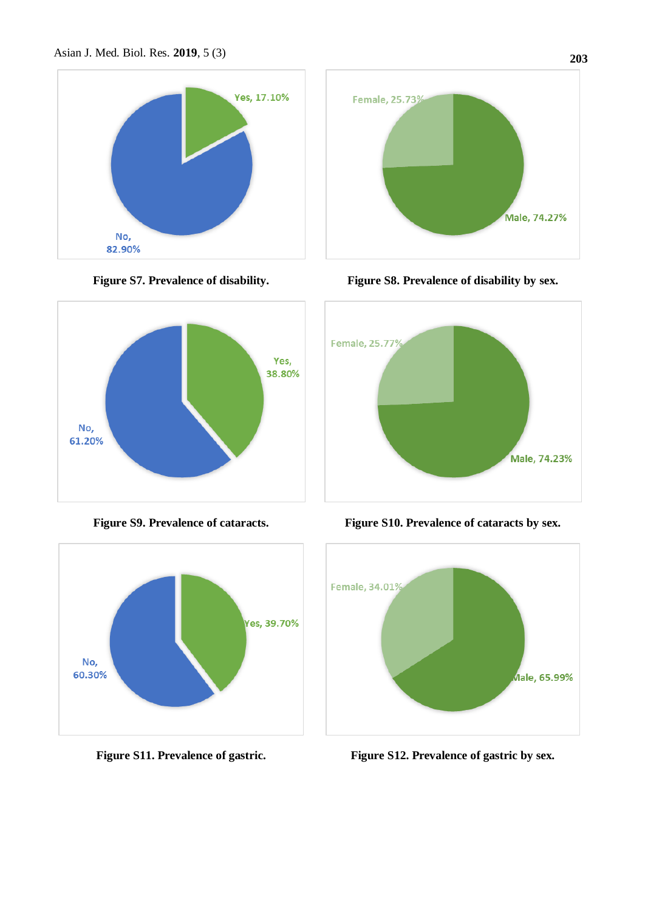









**Figure S7. Prevalence of disability. Figure S8. Prevalence of disability by sex.**



**Figure S9. Prevalence of cataracts. Figure S10. Prevalence of cataracts by sex.**



**Figure S11. Prevalence of gastric. Figure S12. Prevalence of gastric by sex.**

**203**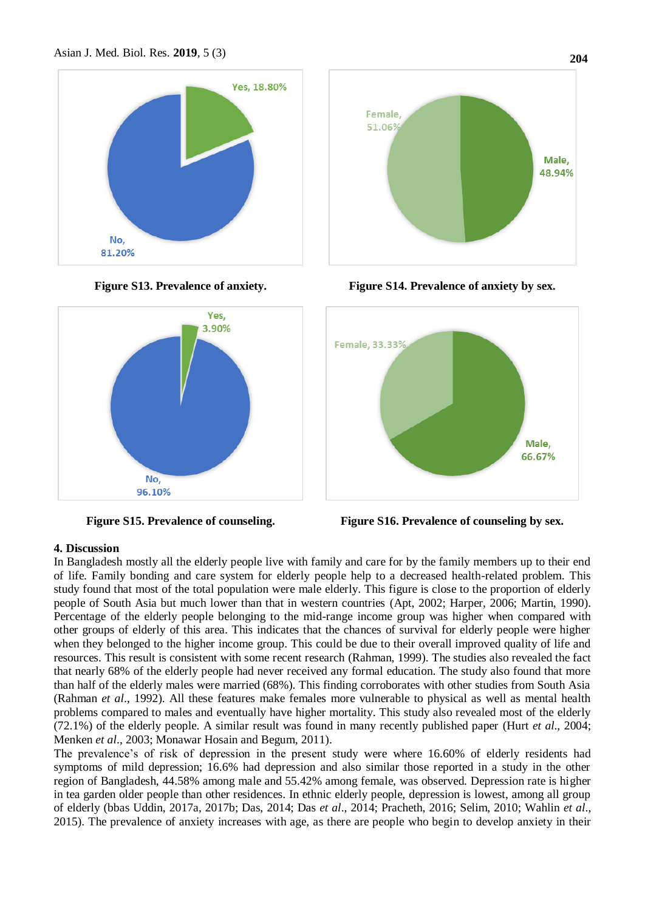







**Figure S13. Prevalence of anxiety. Figure S14. Prevalence of anxiety by sex.**



**Figure S15. Prevalence of counseling. Figure S16. Prevalence of counseling by sex.**

# **4. Discussion**

In Bangladesh mostly all the elderly people live with family and care for by the family members up to their end of life. Family bonding and care system for elderly people help to a decreased health-related problem. This study found that most of the total population were male elderly. This figure is close to the proportion of elderly people of South Asia but much lower than that in western countries (Apt, 2002; Harper, 2006; Martin, 1990). Percentage of the elderly people belonging to the mid-range income group was higher when compared with other groups of elderly of this area. This indicates that the chances of survival for elderly people were higher when they belonged to the higher income group. This could be due to their overall improved quality of life and resources. This result is consistent with some recent research (Rahman, 1999). The studies also revealed the fact that nearly 68% of the elderly people had never received any formal education. The study also found that more than half of the elderly males were married (68%). This finding corroborates with other studies from South Asia (Rahman *et al*., 1992). All these features make females more vulnerable to physical as well as mental health problems compared to males and eventually have higher mortality. This study also revealed most of the elderly (72.1%) of the elderly people. A similar result was found in many recently published paper (Hurt *et al*., 2004; Menken *et al*., 2003; Monawar Hosain and Begum, 2011).

The prevalence's of risk of depression in the present study were where 16.60% of elderly residents had symptoms of mild depression; 16.6% had depression and also similar those reported in a study in the other region of Bangladesh, 44.58% among male and 55.42% among female, was observed. Depression rate is higher in tea garden older people than other residences. In ethnic elderly people, depression is lowest, among all group of elderly (bbas Uddin, 2017a, 2017b; Das, 2014; Das *et al*., 2014; Pracheth, 2016; Selim, 2010; Wahlin *et al*., 2015). The prevalence of anxiety increases with age, as there are people who begin to develop anxiety in their

**204**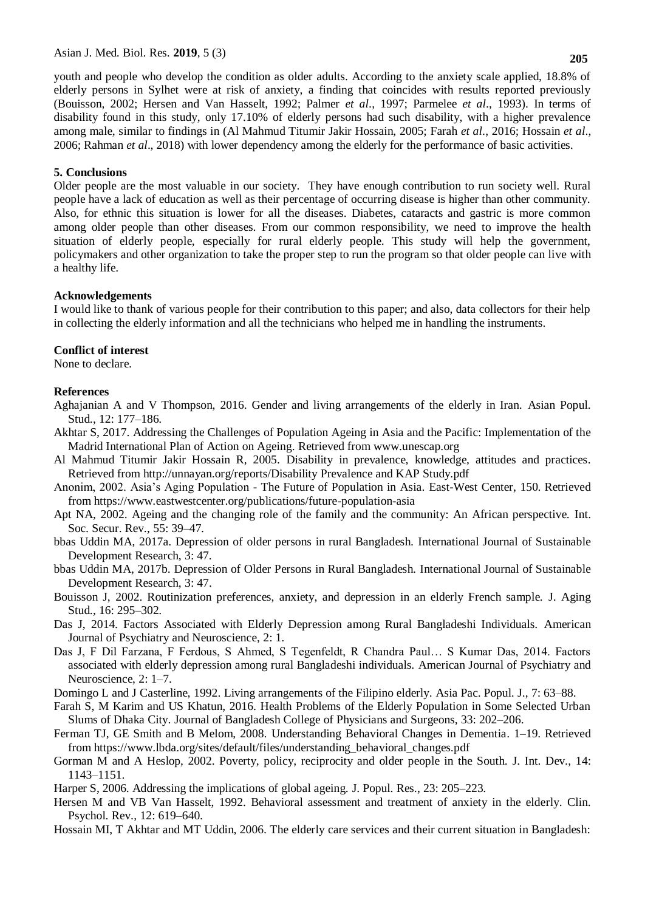youth and people who develop the condition as older adults. According to the anxiety scale applied, 18.8% of elderly persons in Sylhet were at risk of anxiety, a finding that coincides with results reported previously (Bouisson, 2002; Hersen and Van Hasselt, 1992; Palmer *et al*., 1997; Parmelee *et al*., 1993). In terms of disability found in this study, only 17.10% of elderly persons had such disability, with a higher prevalence among male, similar to findings in (Al Mahmud Titumir Jakir Hossain, 2005; Farah *et al*., 2016; Hossain *et al*., 2006; Rahman *et al*., 2018) with lower dependency among the elderly for the performance of basic activities.

### **5. Conclusions**

Older people are the most valuable in our society. They have enough contribution to run society well. Rural people have a lack of education as well as their percentage of occurring disease is higher than other community. Also, for ethnic this situation is lower for all the diseases. Diabetes, cataracts and gastric is more common among older people than other diseases. From our common responsibility, we need to improve the health situation of elderly people, especially for rural elderly people. This study will help the government, policymakers and other organization to take the proper step to run the program so that older people can live with a healthy life.

### **Acknowledgements**

I would like to thank of various people for their contribution to this paper; and also, data collectors for their help in collecting the elderly information and all the technicians who helped me in handling the instruments.

# **Conflict of interest**

None to declare.

### **References**

- Aghajanian A and V Thompson, 2016. Gender and living arrangements of the elderly in Iran. Asian Popul. Stud., 12: 177–186.
- Akhtar S, 2017. Addressing the Challenges of Population Ageing in Asia and the Pacific: Implementation of the Madrid International Plan of Action on Ageing. Retrieved from www.unescap.org
- Al Mahmud Titumir Jakir Hossain R, 2005. Disability in prevalence, knowledge, attitudes and practices. Retrieved from http://unnayan.org/reports/Disability Prevalence and KAP Study.pdf
- Anonim, 2002. Asia's Aging Population The Future of Population in Asia. East-West Center, 150. Retrieved from https://www.eastwestcenter.org/publications/future-population-asia
- Apt NA, 2002. Ageing and the changing role of the family and the community: An African perspective. Int. Soc. Secur. Rev., 55: 39–47.
- bbas Uddin MA, 2017a. Depression of older persons in rural Bangladesh. International Journal of Sustainable Development Research, 3: 47.
- bbas Uddin MA, 2017b. Depression of Older Persons in Rural Bangladesh. International Journal of Sustainable Development Research, 3: 47.
- Bouisson J, 2002. Routinization preferences, anxiety, and depression in an elderly French sample. J. Aging Stud., 16: 295–302.
- Das J, 2014. Factors Associated with Elderly Depression among Rural Bangladeshi Individuals. American Journal of Psychiatry and Neuroscience, 2: 1.
- Das J, F Dil Farzana, F Ferdous, S Ahmed, S Tegenfeldt, R Chandra Paul… S Kumar Das, 2014. Factors associated with elderly depression among rural Bangladeshi individuals. American Journal of Psychiatry and Neuroscience, 2: 1–7.
- Domingo L and J Casterline, 1992. Living arrangements of the Filipino elderly. Asia Pac. Popul. J., 7: 63–88.
- Farah S, M Karim and US Khatun, 2016. Health Problems of the Elderly Population in Some Selected Urban Slums of Dhaka City. Journal of Bangladesh College of Physicians and Surgeons, 33: 202–206.
- Ferman TJ, GE Smith and B Melom, 2008. Understanding Behavioral Changes in Dementia. 1–19. Retrieved from https://www.lbda.org/sites/default/files/understanding\_behavioral\_changes.pdf
- Gorman M and A Heslop, 2002. Poverty, policy, reciprocity and older people in the South. J. Int. Dev., 14: 1143–1151.
- Harper S, 2006. Addressing the implications of global ageing. J. Popul. Res., 23: 205–223.
- Hersen M and VB Van Hasselt, 1992. Behavioral assessment and treatment of anxiety in the elderly. Clin. Psychol. Rev., 12: 619–640.
- Hossain MI, T Akhtar and MT Uddin, 2006. The elderly care services and their current situation in Bangladesh: